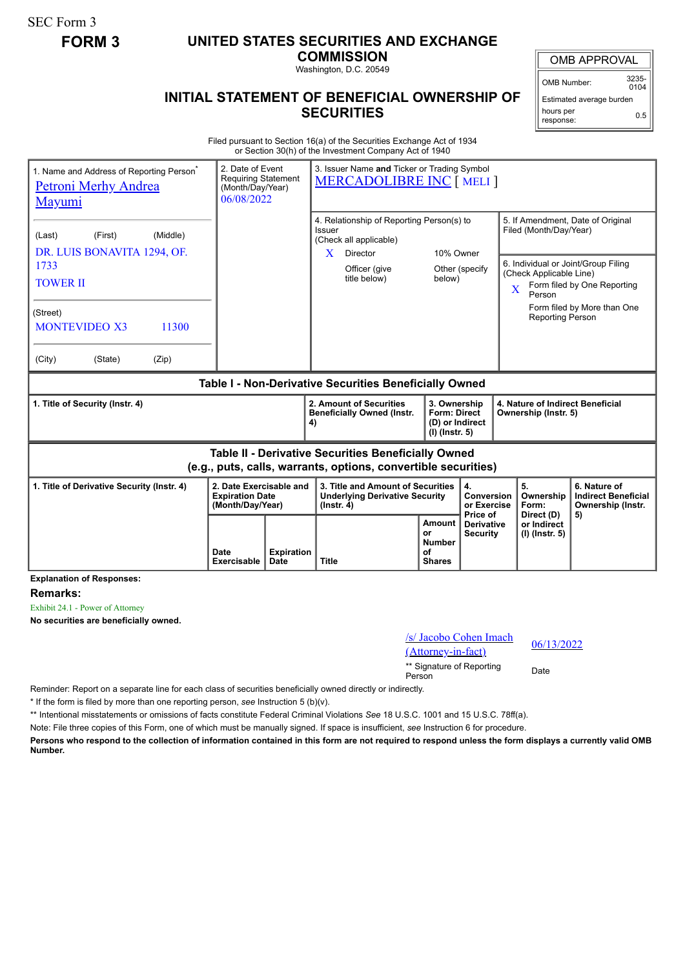SEC Form 3

## **FORM 3 UNITED STATES SECURITIES AND EXCHANGE**

**COMMISSION**

Washington, D.C. 20549

## **INITIAL STATEMENT OF BENEFICIAL OWNERSHIP OF SECURITIES**

OMB APPROVAL

OMB Number: 3235-  $0104$ 

Estimated average burden hours per response: 0.5

Filed pursuant to Section 16(a) of the Securities Exchange Act of 1934 or Section 30(h) of the Investment Company Act of 1940

| 1. Name and Address of Reporting Person <sup>®</sup><br><b>Petroni Merhy Andrea</b><br><b>Mayumi</b>                  | 2. Date of Event<br><b>Requiring Statement</b><br>(Month/Day/Year)<br>06/08/2022 |                           | 3. Issuer Name and Ticker or Trading Symbol<br><b>MERCADOLIBRE INC [ MELI ]</b>                                    |                                                              |                                                                                              |                                                                          |                                                                                                    |                                                                       |                                                            |  |
|-----------------------------------------------------------------------------------------------------------------------|----------------------------------------------------------------------------------|---------------------------|--------------------------------------------------------------------------------------------------------------------|--------------------------------------------------------------|----------------------------------------------------------------------------------------------|--------------------------------------------------------------------------|----------------------------------------------------------------------------------------------------|-----------------------------------------------------------------------|------------------------------------------------------------|--|
| (First)<br>(Middle)<br>(Last)<br>DR. LUIS BONAVITA 1294, OF.                                                          |                                                                                  |                           | 4. Relationship of Reporting Person(s) to<br><b>Issuer</b><br>(Check all applicable)<br>10% Owner<br>X<br>Director |                                                              |                                                                                              |                                                                          | 5. If Amendment, Date of Original<br>Filed (Month/Day/Year)<br>6. Individual or Joint/Group Filing |                                                                       |                                                            |  |
| 1733<br><b>TOWER II</b>                                                                                               |                                                                                  |                           |                                                                                                                    | Officer (give<br>title below)                                | below)                                                                                       | Other (specify                                                           | $\overline{\mathbf{X}}$                                                                            | (Check Applicable Line)<br>Person                                     | Form filed by One Reporting<br>Form filed by More than One |  |
| (Street)<br><b>MONTEVIDEO X3</b><br>11300<br>(Zip)<br>(City)<br>(State)                                               |                                                                                  |                           |                                                                                                                    |                                                              |                                                                                              |                                                                          |                                                                                                    | Reporting Person                                                      |                                                            |  |
| Table I - Non-Derivative Securities Beneficially Owned                                                                |                                                                                  |                           |                                                                                                                    |                                                              |                                                                                              |                                                                          |                                                                                                    |                                                                       |                                                            |  |
| 1. Title of Security (Instr. 4)                                                                                       |                                                                                  |                           | 4)                                                                                                                 | 2. Amount of Securities<br><b>Beneficially Owned (Instr.</b> |                                                                                              | 3. Ownership<br><b>Form: Direct</b><br>(D) or Indirect<br>(I) (Instr. 5) |                                                                                                    | 4. Nature of Indirect Beneficial<br>Ownership (Instr. 5)              |                                                            |  |
| Table II - Derivative Securities Beneficially Owned<br>(e.g., puts, calls, warrants, options, convertible securities) |                                                                                  |                           |                                                                                                                    |                                                              |                                                                                              |                                                                          |                                                                                                    |                                                                       |                                                            |  |
| 2. Date Exercisable and<br>1. Title of Derivative Security (Instr. 4)<br><b>Expiration Date</b><br>(Month/Day/Year)   |                                                                                  |                           | 3. Title and Amount of Securities<br><b>Underlying Derivative Security</b><br>$($ lnstr. 4 $)$                     |                                                              | 4.<br>Conversion<br>or Exercise<br>Price of                                                  |                                                                          | 5.<br>Ownership<br>Form:<br>Direct (D)                                                             | 6. Nature of<br><b>Indirect Beneficial</b><br>Ownership (Instr.<br>5) |                                                            |  |
|                                                                                                                       | Date<br>Exercisable                                                              | <b>Expiration</b><br>Date | <b>Title</b>                                                                                                       |                                                              | Amount<br><b>Derivative</b><br>0r<br><b>Security</b><br><b>Number</b><br>οf<br><b>Shares</b> |                                                                          |                                                                                                    | or Indirect<br>(I) (Instr. 5)                                         |                                                            |  |

**Explanation of Responses:**

**Remarks:**

Exhibit 24.1 - Power of Attorney

**No securities are beneficially owned.**

| /s/ Jacobo Cohen Imach |            |
|------------------------|------------|
| (Attorney-in-fact)     | 06/13/2022 |

\*\* Signature of Reporting <sub>Date</sub><br>Person

Reminder: Report on a separate line for each class of securities beneficially owned directly or indirectly.

\* If the form is filed by more than one reporting person, *see* Instruction 5 (b)(v).

\*\* Intentional misstatements or omissions of facts constitute Federal Criminal Violations *See* 18 U.S.C. 1001 and 15 U.S.C. 78ff(a).

Note: File three copies of this Form, one of which must be manually signed. If space is insufficient, *see* Instruction 6 for procedure.

**Persons who respond to the collection of information contained in this form are not required to respond unless the form displays a currently valid OMB Number.**